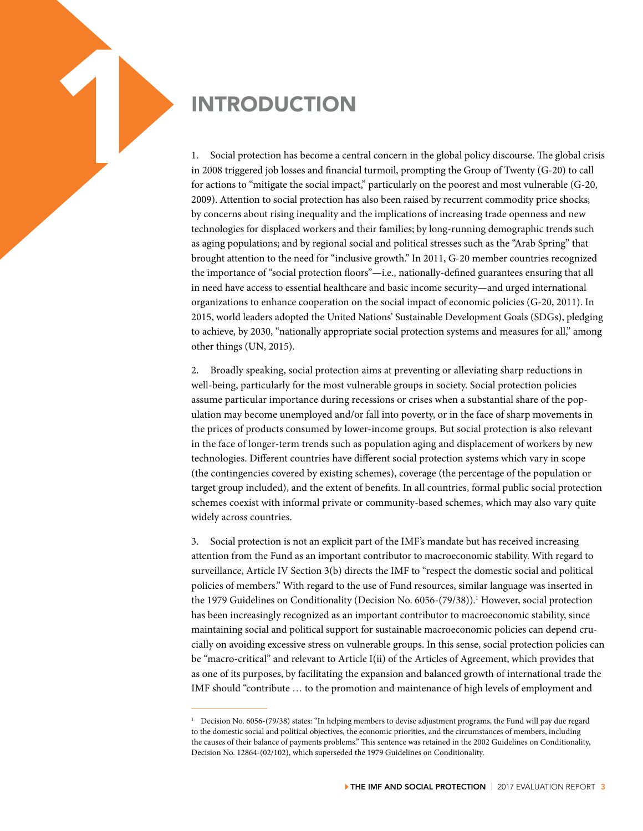1. Social protection has become a central and the second in 2008 triggered job losses and financial for actions to "mitigate the social impact 1. Social protection has become a central concern in the global policy discourse. The global crisis in 2008 triggered job losses and financial turmoil, prompting the Group of Twenty (G-20) to call for actions to "mitigate the social impact," particularly on the poorest and most vulnerable (G-20, 2009). Attention to social protection has also been raised by recurrent commodity price shocks; by concerns about rising inequality and the implications of increasing trade openness and new technologies for displaced workers and their families; by long-running demographic trends such as aging populations; and by regional social and political stresses such as the "Arab Spring" that brought attention to the need for "inclusive growth." In 2011, G-20 member countries recognized the importance of "social protection floors"—i.e., nationally-defined guarantees ensuring that all in need have access to essential healthcare and basic income security—and urged international organizations to enhance cooperation on the social impact of economic policies (G-20, 2011). In 2015, world leaders adopted the United Nations' Sustainable Development Goals (SDGs), pledging to achieve, by 2030, "nationally appropriate social protection systems and measures for all," among other things (UN, 2015).

> 2. Broadly speaking, social protection aims at preventing or alleviating sharp reductions in well-being, particularly for the most vulnerable groups in society. Social protection policies assume particular importance during recessions or crises when a substantial share of the population may become unemployed and/or fall into poverty, or in the face of sharp movements in the prices of products consumed by lower-income groups. But social protection is also relevant in the face of longer-term trends such as population aging and displacement of workers by new technologies. Different countries have different social protection systems which vary in scope (the contingencies covered by existing schemes), coverage (the percentage of the population or target group included), and the extent of benefits. In all countries, formal public social protection schemes coexist with informal private or community-based schemes, which may also vary quite widely across countries.

> 3. Social protection is not an explicit part of the IMF's mandate but has received increasing attention from the Fund as an important contributor to macroeconomic stability. With regard to surveillance, Article IV Section 3(b) directs the IMF to "respect the domestic social and political policies of members." With regard to the use of Fund resources, similar language was inserted in the 1979 Guidelines on Conditionality (Decision No. 6056-(79/38)).<sup>1</sup> However, social protection has been increasingly recognized as an important contributor to macroeconomic stability, since maintaining social and political support for sustainable macroeconomic policies can depend crucially on avoiding excessive stress on vulnerable groups. In this sense, social protection policies can be "macro-critical" and relevant to Article I(ii) of the Articles of Agreement, which provides that as one of its purposes, by facilitating the expansion and balanced growth of international trade the IMF should "contribute … to the promotion and maintenance of high levels of employment and

<sup>1</sup> Decision No. 6056-(79/38) states: "In helping members to devise adjustment programs, the Fund will pay due regard to the domestic social and political objectives, the economic priorities, and the circumstances of members, including the causes of their balance of payments problems." This sentence was retained in the 2002 Guidelines on Conditionality, Decision No. 12864-(02/102), which superseded the 1979 Guidelines on Conditionality.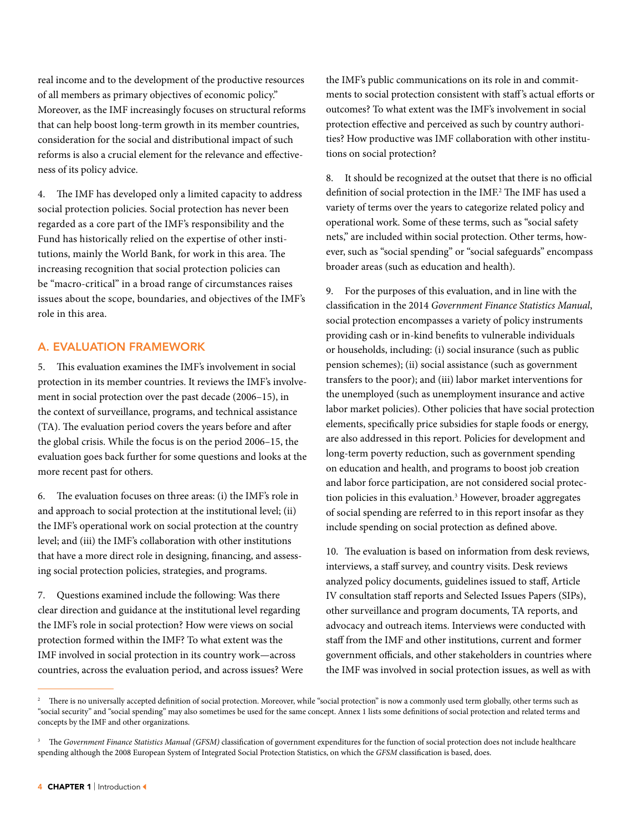real income and to the development of the productive resources of all members as primary objectives of economic policy." Moreover, as the IMF increasingly focuses on structural reforms that can help boost long-term growth in its member countries, consideration for the social and distributional impact of such reforms is also a crucial element for the relevance and effectiveness of its policy advice.

4. The IMF has developed only a limited capacity to address social protection policies. Social protection has never been regarded as a core part of the IMF's responsibility and the Fund has historically relied on the expertise of other institutions, mainly the World Bank, for work in this area. The increasing recognition that social protection policies can be "macro-critical" in a broad range of circumstances raises issues about the scope, boundaries, and objectives of the IMF's role in this area.

## A. EVALUATION FRAMEWORK

5. This evaluation examines the IMF's involvement in social protection in its member countries. It reviews the IMF's involvement in social protection over the past decade (2006–15), in the context of surveillance, programs, and technical assistance (TA). The evaluation period covers the years before and after the global crisis. While the focus is on the period 2006–15, the evaluation goes back further for some questions and looks at the more recent past for others.

6. The evaluation focuses on three areas: (i) the IMF's role in and approach to social protection at the institutional level; (ii) the IMF's operational work on social protection at the country level; and (iii) the IMF's collaboration with other institutions that have a more direct role in designing, financing, and assessing social protection policies, strategies, and programs.

7. Questions examined include the following: Was there clear direction and guidance at the institutional level regarding the IMF's role in social protection? How were views on social protection formed within the IMF? To what extent was the IMF involved in social protection in its country work—across countries, across the evaluation period, and across issues? Were the IMF's public communications on its role in and commitments to social protection consistent with staff 's actual efforts or outcomes? To what extent was the IMF's involvement in social protection effective and perceived as such by country authorities? How productive was IMF collaboration with other institutions on social protection?

8. It should be recognized at the outset that there is no official definition of social protection in the IMF.2 The IMF has used a variety of terms over the years to categorize related policy and operational work. Some of these terms, such as "social safety nets," are included within social protection. Other terms, however, such as "social spending" or "social safeguards" encompass broader areas (such as education and health).

9. For the purposes of this evaluation, and in line with the classification in the 2014 *Government Finance Statistics Manual*, social protection encompasses a variety of policy instruments providing cash or in-kind benefits to vulnerable individuals or households, including: (i) social insurance (such as public pension schemes); (ii) social assistance (such as government transfers to the poor); and (iii) labor market interventions for the unemployed (such as unemployment insurance and active labor market policies). Other policies that have social protection elements, specifically price subsidies for staple foods or energy, are also addressed in this report. Policies for development and long-term poverty reduction, such as government spending on education and health, and programs to boost job creation and labor force participation, are not considered social protection policies in this evaluation.<sup>3</sup> However, broader aggregates of social spending are referred to in this report insofar as they include spending on social protection as defined above.

10. The evaluation is based on information from desk reviews, interviews, a staff survey, and country visits. Desk reviews analyzed policy documents, guidelines issued to staff, Article IV consultation staff reports and Selected Issues Papers (SIPs), other surveillance and program documents, TA reports, and advocacy and outreach items. Interviews were conducted with staff from the IMF and other institutions, current and former government officials, and other stakeholders in countries where the IMF was involved in social protection issues, as well as with

<sup>&</sup>lt;sup>2</sup> There is no universally accepted definition of social protection. Moreover, while "social protection" is now a commonly used term globally, other terms such as "social security" and "social spending" may also sometimes be used for the same concept. Annex 1 lists some definitions of social protection and related terms and concepts by the IMF and other organizations.

The Government Finance Statistics Manual (GFSM) classification of government expenditures for the function of social protection does not include healthcare spending although the 2008 European System of Integrated Social Protection Statistics, on which the *GFSM* classification is based, does.